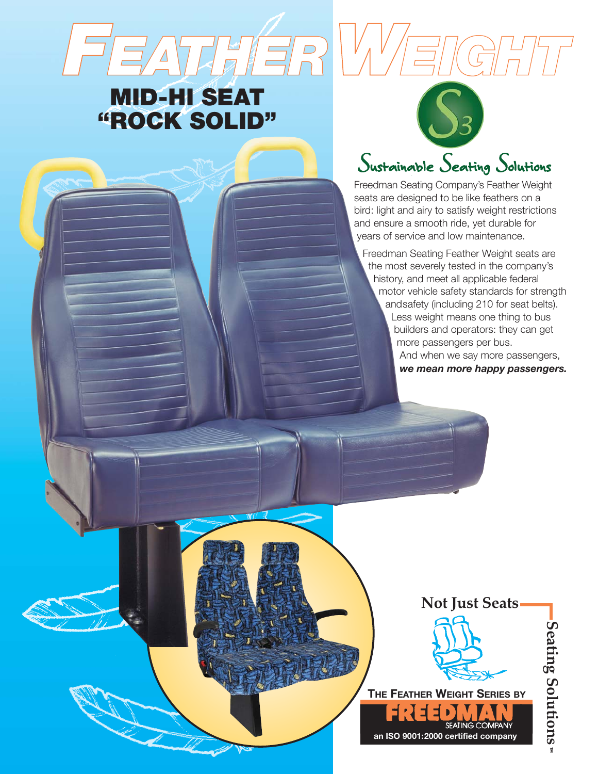### **MID-HI SEAT "ROCK SOLID"**

*FEATHERWEIGHT*



## Sustainable Seating Solutions

Freedman Seating Company's Feather Weight seats are designed to be like feathers on a bird: light and airy to satisfy weight restrictions and ensure a smooth ride, yet durable for years of service and low maintenance.

Freedman Seating Feather Weight seats are the most severely tested in the company's history, and meet all applicable federal motor vehicle safety standards for strength and safety (including 210 for seat belts). Less weight means one thing to bus builders and operators: they can get more passengers per bus. And when we say more passengers,

*we mean more happy passengers.*



**THE FEATHER WEIGHT SERIES BY ENERGION** SEATING COMPANY **an ISO 9001:2000 certified company**

**Seating Solutions** Seating Solutions<sup>"</sup>